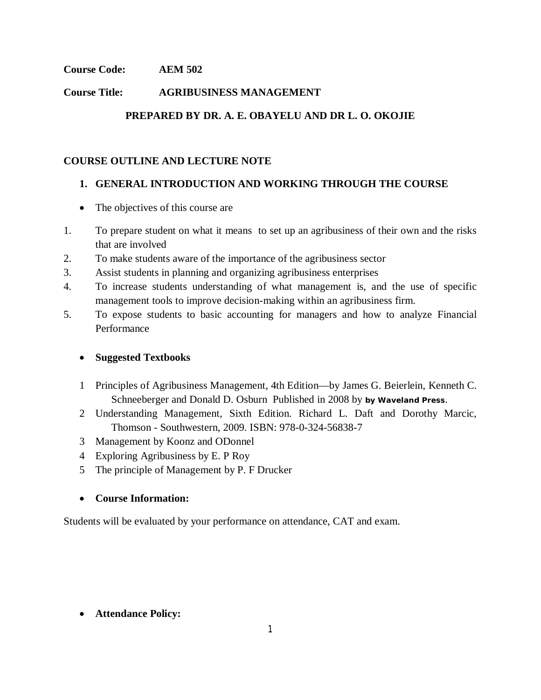## **Course Code: AEM 502**

## **Course Title: AGRIBUSINESS MANAGEMENT**

# **PREPARED BY DR. A. E. OBAYELU AND DR L. O. OKOJIE**

### **COURSE OUTLINE AND LECTURE NOTE**

# **1. GENERAL INTRODUCTION AND WORKING THROUGH THE COURSE**

- The objectives of this course are
- 1. To prepare student on what it means to set up an agribusiness of their own and the risks that are involved
- 2. To make students aware of the importance of the agribusiness sector
- 3. Assist students in planning and organizing agribusiness enterprises
- 4. To increase students understanding of what management is, and the use of specific management tools to improve decision-making within an agribusiness firm.
- 5. To expose students to basic accounting for managers and how to analyze Financial **Performance**

### **Suggested Textbooks**

- 1 Principles of Agribusiness Management, 4th Edition—by James G. Beierlein, Kenneth C. Schneeberger and Donald D. Osburn Published in 2008 by **by Waveland Press**.
- 2 Understanding Management, Sixth Edition. Richard L. Daft and Dorothy Marcic, Thomson - Southwestern, 2009. ISBN: 978-0-324-56838-7
- 3 Management by Koonz and ODonnel
- 4 Exploring Agribusiness by E. P Roy
- 5 The principle of Management by P. F Drucker

### **Course Information:**

Students will be evaluated by your performance on attendance, CAT and exam.

### **Attendance Policy:**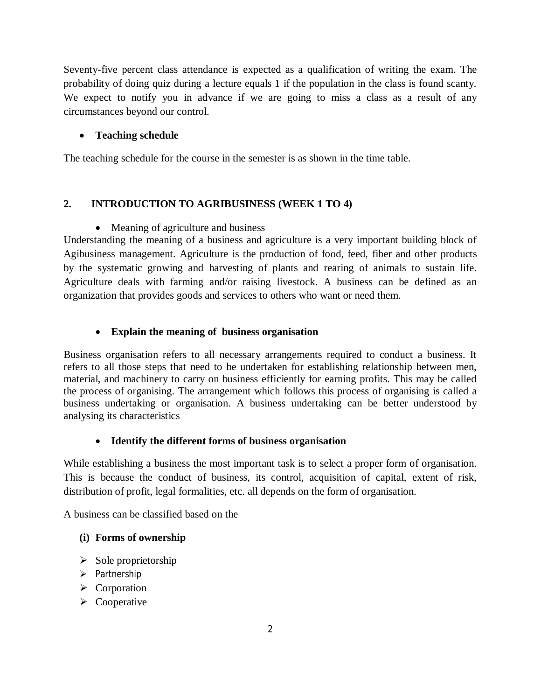Seventy-five percent class attendance is expected as a qualification of writing the exam. The probability of doing quiz during a lecture equals 1 if the population in the class is found scanty. We expect to notify you in advance if we are going to miss a class as a result of any circumstances beyond our control.

## **Teaching schedule**

The teaching schedule for the course in the semester is as shown in the time table.

# **2. INTRODUCTION TO AGRIBUSINESS (WEEK 1 TO 4)**

### • Meaning of agriculture and business

Understanding the meaning of a business and agriculture is a very important building block of Agibusiness management. Agriculture is the production of food, feed, fiber and other products by the systematic growing and harvesting of plants and rearing of animals to sustain life. Agriculture deals with farming and/or raising livestock. A business can be defined as an organization that provides goods and services to others who want or need them.

### **Explain the meaning of business organisation**

Business organisation refers to all necessary arrangements required to conduct a business. It refers to all those steps that need to be undertaken for establishing relationship between men, material, and machinery to carry on business efficiently for earning profits. This may be called the process of organising. The arrangement which follows this process of organising is called a business undertaking or organisation. A business undertaking can be better understood by analysing its characteristics

### **Identify the different forms of business organisation**

While establishing a business the most important task is to select a proper form of organisation. This is because the conduct of business, its control, acquisition of capital, extent of risk, distribution of profit, legal formalities, etc. all depends on the form of organisation.

A business can be classified based on the

# **(i) Forms of ownership**

- $\triangleright$  Sole proprietorship
- $\triangleright$  Partnership
- $\triangleright$  Corporation
- $\triangleright$  Cooperative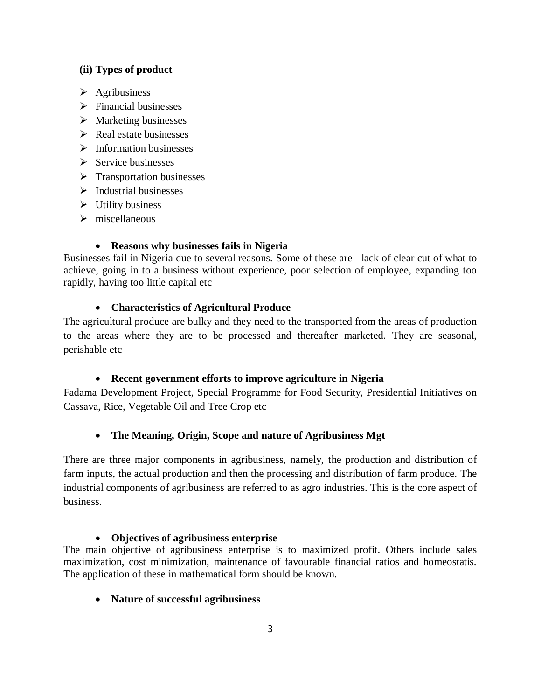### **(ii) Types of product**

- $\triangleright$  Agribusiness
- $\triangleright$  Financial businesses
- $\triangleright$  Marketing businesses
- $\triangleright$  Real estate businesses
- $\triangleright$  Information businesses
- $\triangleright$  Service businesses
- $\triangleright$  Transportation businesses
- $\triangleright$  Industrial businesses
- $\triangleright$  Utility business
- $\triangleright$  miscellaneous

### **Reasons why businesses fails in Nigeria**

Businesses fail in Nigeria due to several reasons. Some of these are lack of clear cut of what to achieve, going in to a business without experience, poor selection of employee, expanding too rapidly, having too little capital etc

# **Characteristics of Agricultural Produce**

The agricultural produce are bulky and they need to the transported from the areas of production to the areas where they are to be processed and thereafter marketed. They are seasonal, perishable etc

# **Recent government efforts to improve agriculture in Nigeria**

Fadama Development Project, Special Programme for Food Security, Presidential Initiatives on Cassava, Rice, Vegetable Oil and Tree Crop etc

# **The Meaning, Origin, Scope and nature of Agribusiness Mgt**

There are three major components in agribusiness, namely, the production and distribution of farm inputs, the actual production and then the processing and distribution of farm produce. The industrial components of agribusiness are referred to as agro industries. This is the core aspect of business.

### **Objectives of agribusiness enterprise**

The main objective of agribusiness enterprise is to maximized profit. Others include sales maximization, cost minimization, maintenance of favourable financial ratios and homeostatis. The application of these in mathematical form should be known.

# **Nature of successful agribusiness**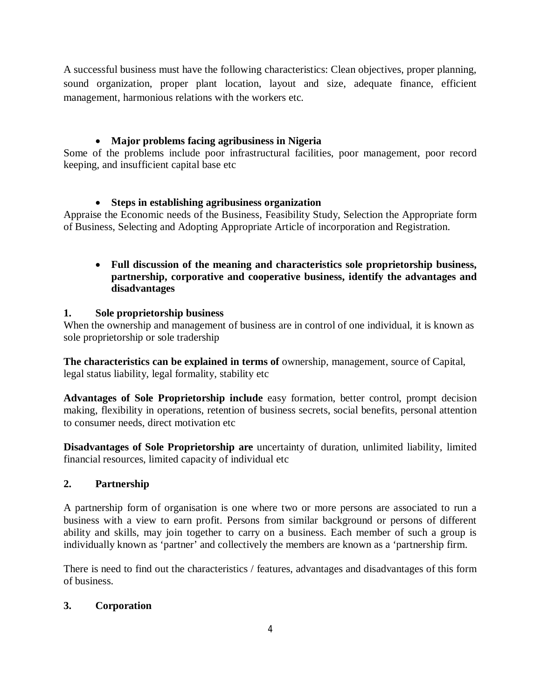A successful business must have the following characteristics: Clean objectives, proper planning, sound organization, proper plant location, layout and size, adequate finance, efficient management, harmonious relations with the workers etc.

# **Major problems facing agribusiness in Nigeria**

Some of the problems include poor infrastructural facilities, poor management, poor record keeping, and insufficient capital base etc

# **Steps in establishing agribusiness organization**

Appraise the Economic needs of the Business, Feasibility Study, Selection the Appropriate form of Business, Selecting and Adopting Appropriate Article of incorporation and Registration.

# **Full discussion of the meaning and characteristics sole proprietorship business, partnership, corporative and cooperative business, identify the advantages and disadvantages**

### **1. Sole proprietorship business**

When the ownership and management of business are in control of one individual, it is known as sole proprietorship or sole tradership

**The characteristics can be explained in terms of** ownership, management, source of Capital, legal status liability, legal formality, stability etc

**Advantages of Sole Proprietorship include** easy formation, better control, prompt decision making, flexibility in operations, retention of business secrets, social benefits, personal attention to consumer needs, direct motivation etc

**Disadvantages of Sole Proprietorship are** uncertainty of duration, unlimited liability, limited financial resources, limited capacity of individual etc

# **2. Partnership**

A partnership form of organisation is one where two or more persons are associated to run a business with a view to earn profit. Persons from similar background or persons of different ability and skills, may join together to carry on a business. Each member of such a group is individually known as 'partner' and collectively the members are known as a 'partnership firm.

There is need to find out the characteristics / features, advantages and disadvantages of this form of business.

# **3. Corporation**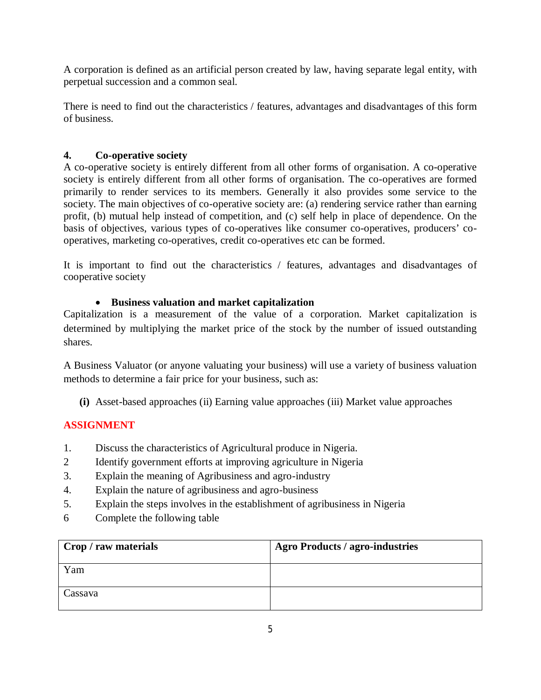A corporation is defined as an artificial person created by law, having separate legal entity, with perpetual succession and a common seal.

There is need to find out the characteristics / features, advantages and disadvantages of this form of business.

# **4. Co-operative society**

A co-operative society is entirely different from all other forms of organisation. A co-operative society is entirely different from all other forms of organisation. The co-operatives are formed primarily to render services to its members. Generally it also provides some service to the society. The main objectives of co-operative society are: (a) rendering service rather than earning profit, (b) mutual help instead of competition, and (c) self help in place of dependence. On the basis of objectives, various types of co-operatives like consumer co-operatives, producers' cooperatives, marketing co-operatives, credit co-operatives etc can be formed.

It is important to find out the characteristics / features, advantages and disadvantages of cooperative society

# **Business valuation and market capitalization**

Capitalization is a measurement of the value of a corporation. Market capitalization is determined by multiplying the market price of the stock by the number of issued outstanding shares.

A Business Valuator (or anyone valuating your business) will use a variety of business valuation methods to determine a fair price for your business, such as:

**(i)** Asset-based approaches (ii) Earning value approaches (iii) Market value approaches

# **ASSIGNMENT**

- 1. Discuss the characteristics of Agricultural produce in Nigeria.
- 2 Identify government efforts at improving agriculture in Nigeria
- 3. Explain the meaning of Agribusiness and agro-industry
- 4. Explain the nature of agribusiness and agro-business
- 5. Explain the steps involves in the establishment of agribusiness in Nigeria
- 6 Complete the following table

| Crop / raw materials | <b>Agro Products / agro-industries</b> |
|----------------------|----------------------------------------|
| Yam                  |                                        |
| Cassava              |                                        |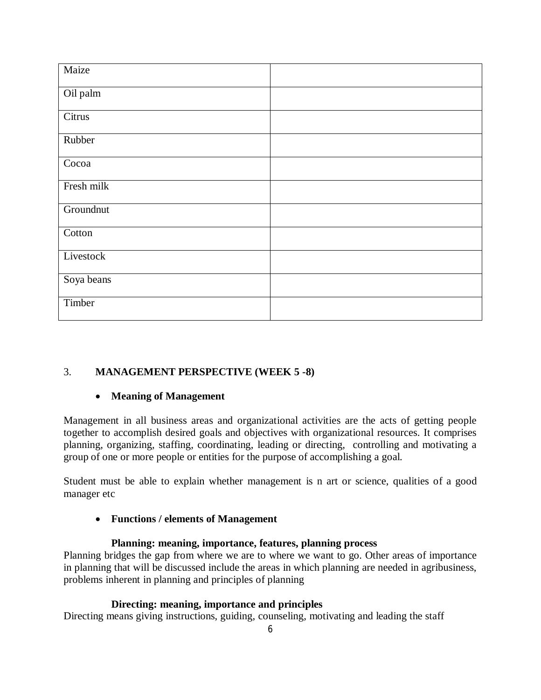| Maize      |  |
|------------|--|
| Oil palm   |  |
| Citrus     |  |
| Rubber     |  |
| Cocoa      |  |
| Fresh milk |  |
| Groundnut  |  |
| Cotton     |  |
| Livestock  |  |
| Soya beans |  |
| Timber     |  |

# 3. **MANAGEMENT PERSPECTIVE (WEEK 5 -8)**

# **Meaning of Management**

Management in all business areas and organizational activities are the acts of getting people together to accomplish desired goals and objectives with organizational resources. It comprises planning, organizing, staffing, coordinating, leading or directing, controlling and motivating a group of one or more people or entities for the purpose of accomplishing a goal.

Student must be able to explain whether management is n art or science, qualities of a good manager etc

### **Functions / elements of Management**

### **Planning: meaning, importance, features, planning process**

Planning bridges the gap from where we are to where we want to go. Other areas of importance in planning that will be discussed include the areas in which planning are needed in agribusiness, problems inherent in planning and principles of planning

### **Directing: meaning, importance and principles**

Directing means giving instructions, guiding, counseling, motivating and leading the staff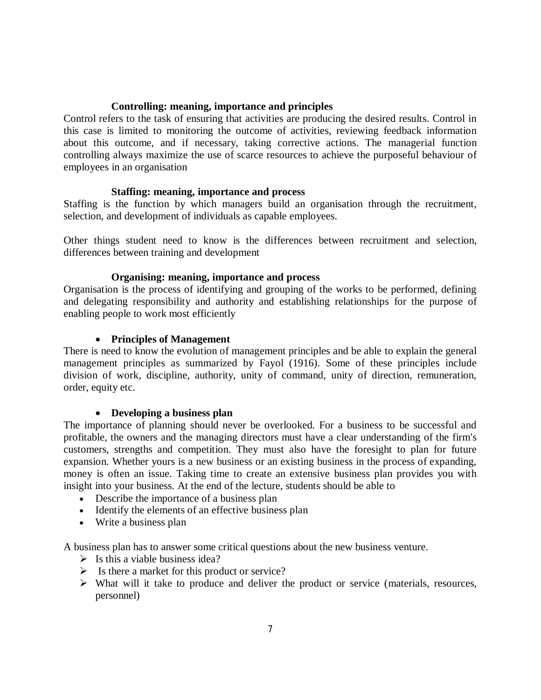#### **Controlling: meaning, importance and principles**

Control refers to the task of ensuring that activities are producing the desired results. Control in this case is limited to monitoring the outcome of activities, reviewing feedback information about this outcome, and if necessary, taking corrective actions. The managerial function controlling always maximize the use of scarce resources to achieve the purposeful behaviour of employees in an organisation

#### **Staffing: meaning, importance and process**

Staffing is the function by which managers build an organisation through the recruitment, selection, and development of individuals as capable employees.

Other things student need to know is the differences between recruitment and selection, differences between training and development

#### **Organising: meaning, importance and process**

Organisation is the process of identifying and grouping of the works to be performed, defining and delegating responsibility and authority and establishing relationships for the purpose of enabling people to work most efficiently

#### **Principles of Management**

There is need to know the evolution of management principles and be able to explain the general management principles as summarized by Fayol (1916). Some of these principles include division of work, discipline, authority, unity of command, unity of direction, remuneration, order, equity etc.

#### **Developing a business plan**

The importance of planning should never be overlooked. For a business to be successful and profitable, the owners and the managing directors must have a clear understanding of the firm's customers, strengths and competition. They must also have the foresight to plan for future expansion. Whether yours is a new business or an existing business in the process of expanding, money is often an issue. Taking time to create an extensive business plan provides you with insight into your business. At the end of the lecture, students should be able to

- Describe the importance of a business plan
- Identify the elements of an effective business plan
- Write a business plan

A business plan has to answer some critical questions about the new business venture.

- $\triangleright$  Is this a viable business idea?
- $\triangleright$  Is there a market for this product or service?
- $\triangleright$  What will it take to produce and deliver the product or service (materials, resources, personnel)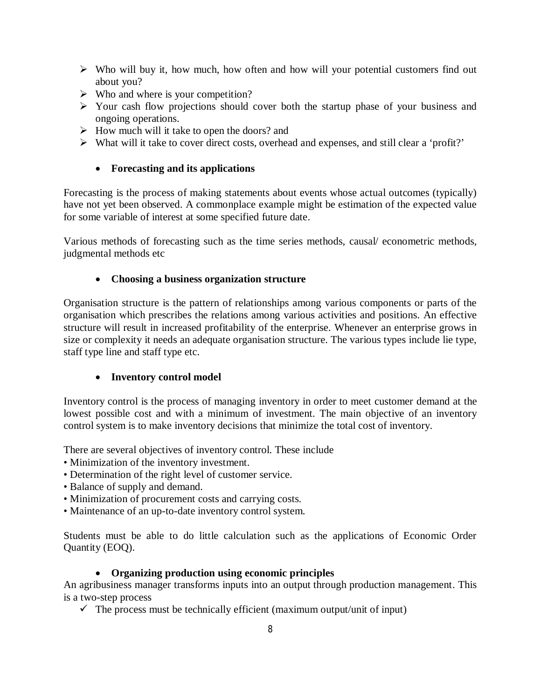- $\triangleright$  Who will buy it, how much, how often and how will your potential customers find out about you?
- $\triangleright$  Who and where is your competition?
- $\triangleright$  Your cash flow projections should cover both the startup phase of your business and ongoing operations.
- $\triangleright$  How much will it take to open the doors? and
- What will it take to cover direct costs, overhead and expenses, and still clear a 'profit?'

### **Forecasting and its applications**

Forecasting is the process of making statements about events whose actual outcomes (typically) have not yet been observed. A commonplace example might be estimation of the expected value for some variable of interest at some specified future date.

Various methods of forecasting such as the time series methods, causal/ econometric methods, judgmental methods etc

### **Choosing a business organization structure**

Organisation structure is the pattern of relationships among various components or parts of the organisation which prescribes the relations among various activities and positions. An effective structure will result in increased profitability of the enterprise. Whenever an enterprise grows in size or complexity it needs an adequate organisation structure. The various types include lie type, staff type line and staff type etc.

### **Inventory control model**

Inventory control is the process of managing inventory in order to meet customer demand at the lowest possible cost and with a minimum of investment. The main objective of an inventory control system is to make inventory decisions that minimize the total cost of inventory.

There are several objectives of inventory control. These include

- Minimization of the inventory investment.
- Determination of the right level of customer service.
- Balance of supply and demand.
- Minimization of procurement costs and carrying costs.
- Maintenance of an up-to-date inventory control system.

Students must be able to do little calculation such as the applications of Economic Order Quantity (EOQ).

### **Organizing production using economic principles**

An agribusiness manager transforms inputs into an output through production management. This is a two-step process

 $\checkmark$  The process must be technically efficient (maximum output/unit of input)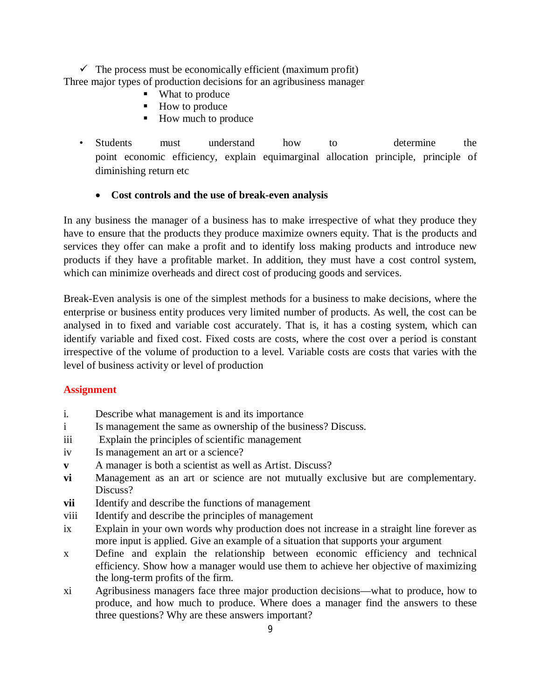$\checkmark$  The process must be economically efficient (maximum profit) Three major types of production decisions for an agribusiness manager

- What to produce
- How to produce
- How much to produce
- Students must understand how to determine the point economic efficiency, explain equimarginal allocation principle, principle of diminishing return etc
	- **Cost controls and the use of break-even analysis**

In any business the manager of a business has to make irrespective of what they produce they have to ensure that the products they produce maximize owners equity. That is the products and services they offer can make a profit and to identify loss making products and introduce new products if they have a profitable market. In addition, they must have a cost control system, which can minimize overheads and direct cost of producing goods and services.

Break-Even analysis is one of the simplest methods for a business to make decisions, where the enterprise or business entity produces very limited number of products. As well, the cost can be analysed in to fixed and variable cost accurately. That is, it has a costing system, which can identify variable and fixed cost. Fixed costs are costs, where the cost over a period is constant irrespective of the volume of production to a level. Variable costs are costs that varies with the level of business activity or level of production

### **Assignment**

- i. Describe what management is and its importance
- i Is management the same as ownership of the business? Discuss.
- iii Explain the principles of scientific management
- iv Is management an art or a science?
- **v** A manager is both a scientist as well as Artist. Discuss?
- **vi** Management as an art or science are not mutually exclusive but are complementary. Discuss?
- **vii** Identify and describe the functions of management
- viii Identify and describe the principles of management
- ix Explain in your own words why production does not increase in a straight line forever as more input is applied. Give an example of a situation that supports your argument
- x Define and explain the relationship between economic efficiency and technical efficiency. Show how a manager would use them to achieve her objective of maximizing the long-term profits of the firm.
- xi Agribusiness managers face three major production decisions—what to produce, how to produce, and how much to produce. Where does a manager find the answers to these three questions? Why are these answers important?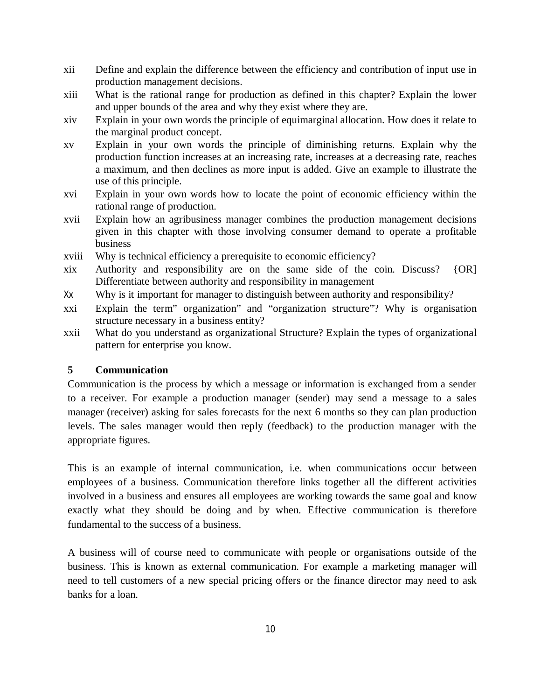- xii Define and explain the difference between the efficiency and contribution of input use in production management decisions.
- xiii What is the rational range for production as defined in this chapter? Explain the lower and upper bounds of the area and why they exist where they are.
- xiv Explain in your own words the principle of equimarginal allocation. How does it relate to the marginal product concept.
- xv Explain in your own words the principle of diminishing returns. Explain why the production function increases at an increasing rate, increases at a decreasing rate, reaches a maximum, and then declines as more input is added. Give an example to illustrate the use of this principle.
- xvi Explain in your own words how to locate the point of economic efficiency within the rational range of production.
- xvii Explain how an agribusiness manager combines the production management decisions given in this chapter with those involving consumer demand to operate a profitable business
- xviii Why is technical efficiency a prerequisite to economic efficiency?
- xix Authority and responsibility are on the same side of the coin. Discuss? {OR] Differentiate between authority and responsibility in management
- Xx Why is it important for manager to distinguish between authority and responsibility?
- xxi Explain the term" organization" and "organization structure"? Why is organisation structure necessary in a business entity?
- xxii What do you understand as organizational Structure? Explain the types of organizational pattern for enterprise you know.

# **5 Communication**

Communication is the process by which a message or information is exchanged from a sender to a receiver. For example a production manager (sender) may send a message to a sales manager (receiver) asking for sales forecasts for the next 6 months so they can plan production levels. The sales manager would then reply (feedback) to the production manager with the appropriate figures.

This is an example of internal communication, i.e. when communications occur between employees of a business. Communication therefore links together all the different activities involved in a business and ensures all employees are working towards the same goal and know exactly what they should be doing and by when. Effective communication is therefore fundamental to the success of a business.

A business will of course need to communicate with people or organisations outside of the business. This is known as external communication. For example a marketing manager will need to tell customers of a new special pricing offers or the finance director may need to ask banks for a loan.